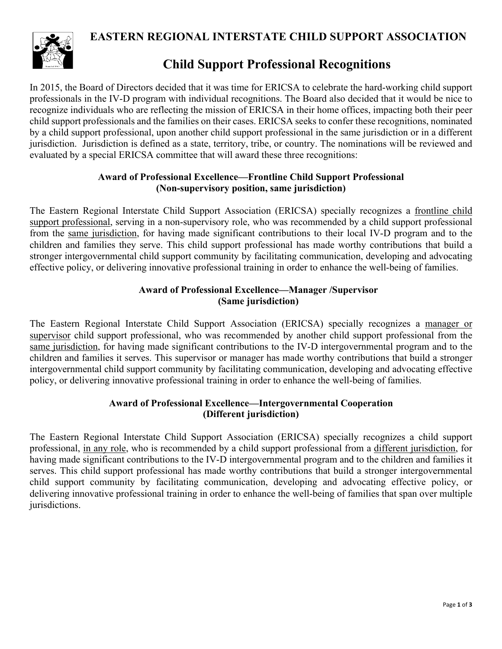**EASTERN REGIONAL INTERSTATE CHILD SUPPORT ASSOCIATION**



## **Child Support Professional Recognitions**

In 2015, the Board of Directors decided that it was time for ERICSA to celebrate the hard-working child support professionals in the IV-D program with individual recognitions. The Board also decided that it would be nice to recognize individuals who are reflecting the mission of ERICSA in their home offices, impacting both their peer child support professionals and the families on their cases. ERICSA seeks to confer these recognitions, nominated by a child support professional, upon another child support professional in the same jurisdiction or in a different jurisdiction. Jurisdiction is defined as a state, territory, tribe, or country. The nominations will be reviewed and evaluated by a special ERICSA committee that will award these three recognitions:

#### **Award of Professional Excellence—Frontline Child Support Professional (Non-supervisory position, same jurisdiction)**

The Eastern Regional Interstate Child Support Association (ERICSA) specially recognizes a frontline child support professional, serving in a non-supervisory role, who was recommended by a child support professional from the same jurisdiction, for having made significant contributions to their local IV-D program and to the children and families they serve. This child support professional has made worthy contributions that build a stronger intergovernmental child support community by facilitating communication, developing and advocating effective policy, or delivering innovative professional training in order to enhance the well-being of families.

#### **Award of Professional Excellence—Manager /Supervisor (Same jurisdiction)**

The Eastern Regional Interstate Child Support Association (ERICSA) specially recognizes a manager or supervisor child support professional, who was recommended by another child support professional from the same jurisdiction, for having made significant contributions to the IV-D intergovernmental program and to the children and families it serves. This supervisor or manager has made worthy contributions that build a stronger intergovernmental child support community by facilitating communication, developing and advocating effective policy, or delivering innovative professional training in order to enhance the well-being of families.

### **Award of Professional Excellence—Intergovernmental Cooperation (Different jurisdiction)**

The Eastern Regional Interstate Child Support Association (ERICSA) specially recognizes a child support professional, in any role, who is recommended by a child support professional from a different jurisdiction, for having made significant contributions to the IV-D intergovernmental program and to the children and families it serves. This child support professional has made worthy contributions that build a stronger intergovernmental child support community by facilitating communication, developing and advocating effective policy, or delivering innovative professional training in order to enhance the well-being of families that span over multiple jurisdictions.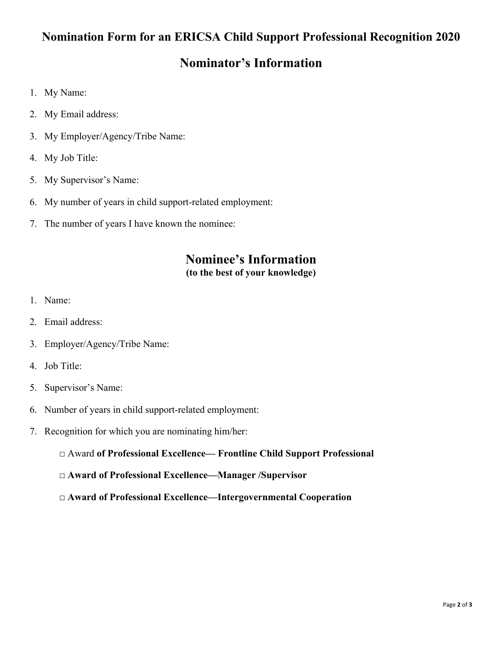### **Nomination Form for an ERICSA Child Support Professional Recognition 2020**

### **Nominator's Information**

- 1. My Name:
- 2. My Email address:
- 3. My Employer/Agency/Tribe Name:
- 4. My Job Title:
- 5. My Supervisor's Name:
- 6. My number of years in child support-related employment:
- 7. The number of years I have known the nominee:

### **Nominee's Information (to the best of your knowledge)**

- 1. Name:
- 2. Email address:
- 3. Employer/Agency/Tribe Name:
- 4. Job Title:
- 5. Supervisor's Name:
- 6. Number of years in child support-related employment:
- 7. Recognition for which you are nominating him/her:
	- □ Award **of Professional Excellence— Frontline Child Support Professional**
	- **□ Award of Professional Excellence—Manager /Supervisor**
	- **□ Award of Professional Excellence—Intergovernmental Cooperation**